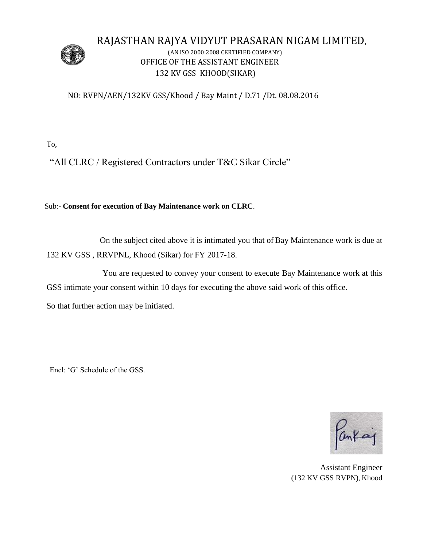

# RAJASTHAN RAJYA VIDYUT PRASARAN NIGAM LIMITED,

## (AN ISO 2000:2008 CERTIFIED COMPANY) OFFICE OF THE ASSISTANT ENGINEER 132 KV GSS KHOOD(SIKAR)

### NO: RVPN/AEN/132KV GSS/Khood / Bay Maint / D.71 /Dt. 08.08.2016

To,

"All CLRC / Registered Contractors under T&C Sikar Circle"

Sub:- **Consent for execution of Bay Maintenance work on CLRC**.

 On the subject cited above it is intimated you that of Bay Maintenance work is due at 132 KV GSS , RRVPNL, Khood (Sikar) for FY 2017-18.

 You are requested to convey your consent to execute Bay Maintenance work at this GSS intimate your consent within 10 days for executing the above said work of this office.

So that further action may be initiated.

Encl: 'G' Schedule of the GSS.

Pankaj

 Assistant Engineer (132 KV GSS RVPN), Khood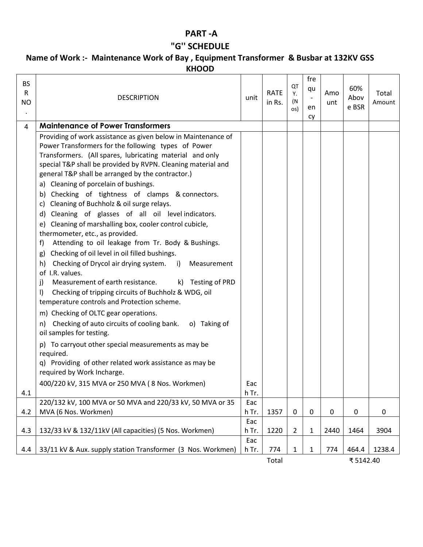## **PART -A**

## **"G'' SCHEDULE**

### **Name of Work :- Maintenance Work of Bay , Equipment Transformer & Busbar at 132KV GSS KHOOD**

| <b>BS</b><br>R<br><b>NO</b> | <b>DESCRIPTION</b>                                                                                                                                                                                                                                                                                                                                                                                                                                                                                                                                                                                                                                                                                                                                                                                                                                                                                                                                                                                                                                                                                                                                                                                                                                                                                                                                                | unit         | <b>RATE</b><br>in Rs. | QT<br>Υ.<br>(N<br>os) | fre<br>qu<br>en<br>cy | Amo<br>unt | 60%<br>Abov<br>e BSR | Total<br>Amount |
|-----------------------------|-------------------------------------------------------------------------------------------------------------------------------------------------------------------------------------------------------------------------------------------------------------------------------------------------------------------------------------------------------------------------------------------------------------------------------------------------------------------------------------------------------------------------------------------------------------------------------------------------------------------------------------------------------------------------------------------------------------------------------------------------------------------------------------------------------------------------------------------------------------------------------------------------------------------------------------------------------------------------------------------------------------------------------------------------------------------------------------------------------------------------------------------------------------------------------------------------------------------------------------------------------------------------------------------------------------------------------------------------------------------|--------------|-----------------------|-----------------------|-----------------------|------------|----------------------|-----------------|
| 4                           | <b>Maintenance of Power Transformers</b>                                                                                                                                                                                                                                                                                                                                                                                                                                                                                                                                                                                                                                                                                                                                                                                                                                                                                                                                                                                                                                                                                                                                                                                                                                                                                                                          |              |                       |                       |                       |            |                      |                 |
|                             | Providing of work assistance as given below in Maintenance of<br>Power Transformers for the following types of Power<br>Transformers. (All spares, lubricating material and only<br>special T&P shall be provided by RVPN. Cleaning material and<br>general T&P shall be arranged by the contractor.)<br>a) Cleaning of porcelain of bushings.<br>Checking of tightness of clamps & connectors.<br>b)<br>Cleaning of Buchholz & oil surge relays.<br>C)<br>d) Cleaning of glasses of all oil levelindicators.<br>Cleaning of marshalling box, cooler control cubicle,<br>e)<br>thermometer, etc., as provided.<br>Attending to oil leakage from Tr. Body & Bushings.<br>f)<br>Checking of oil level in oil filled bushings.<br>g)<br>Checking of Drycol air drying system. i)<br>h)<br>Measurement<br>of I.R. values.<br>Measurement of earth resistance.<br>k)<br>Testing of PRD<br>j)<br>$\vert$<br>Checking of tripping circuits of Buchholz & WDG, oil<br>temperature controls and Protection scheme.<br>m) Checking of OLTC gear operations.<br>Checking of auto circuits of cooling bank.<br>o) Taking of<br>n)<br>oil samples for testing.<br>p) To carryout other special measurements as may be<br>required.<br>q) Providing of other related work assistance as may be<br>required by Work Incharge.<br>400/220 kV, 315 MVA or 250 MVA (8 Nos. Workmen) | Eac          |                       |                       |                       |            |                      |                 |
| 4.1                         | 220/132 kV, 100 MVA or 50 MVA and 220/33 kV, 50 MVA or 35                                                                                                                                                                                                                                                                                                                                                                                                                                                                                                                                                                                                                                                                                                                                                                                                                                                                                                                                                                                                                                                                                                                                                                                                                                                                                                         | h Tr.<br>Eac |                       |                       |                       |            |                      |                 |
| 4.2                         | MVA (6 Nos. Workmen)                                                                                                                                                                                                                                                                                                                                                                                                                                                                                                                                                                                                                                                                                                                                                                                                                                                                                                                                                                                                                                                                                                                                                                                                                                                                                                                                              | h Tr.        | 1357                  | 0                     | $\mathbf 0$           | 0          | 0                    | 0               |
|                             |                                                                                                                                                                                                                                                                                                                                                                                                                                                                                                                                                                                                                                                                                                                                                                                                                                                                                                                                                                                                                                                                                                                                                                                                                                                                                                                                                                   | Eac          |                       |                       |                       |            |                      |                 |
| 4.3                         | 132/33 kV & 132/11kV (All capacities) (5 Nos. Workmen)                                                                                                                                                                                                                                                                                                                                                                                                                                                                                                                                                                                                                                                                                                                                                                                                                                                                                                                                                                                                                                                                                                                                                                                                                                                                                                            | h Tr.        | 1220                  | $\overline{2}$        | 1                     | 2440       | 1464                 | 3904            |
| 4.4                         | 33/11 kV & Aux. supply station Transformer (3 Nos. Workmen)                                                                                                                                                                                                                                                                                                                                                                                                                                                                                                                                                                                                                                                                                                                                                                                                                                                                                                                                                                                                                                                                                                                                                                                                                                                                                                       | Eac<br>h Tr. | 774                   | $\mathbf{1}$          | 1                     | 774        | 464.4                | 1238.4          |
|                             |                                                                                                                                                                                                                                                                                                                                                                                                                                                                                                                                                                                                                                                                                                                                                                                                                                                                                                                                                                                                                                                                                                                                                                                                                                                                                                                                                                   |              | Total                 |                       |                       |            | ₹5142.40             |                 |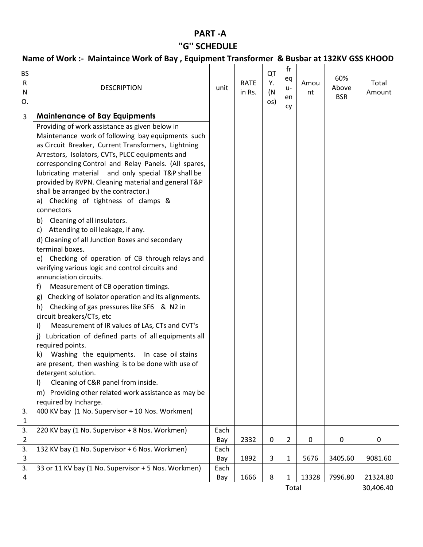## **PART -A "G'' SCHEDULE**

## **Name of Work :- Maintaince Work of Bay , Equipment Transformer & Busbar at 132KV GSS KHOOD**

| <b>BS</b><br>$\mathsf{R}$<br>N<br>O. | <b>DESCRIPTION</b>                                                 | unit | <b>RATE</b><br>in Rs. | QT<br>Υ.<br>(N)<br>os) | fr<br>eq<br>$U -$<br>en<br>cy | Amou<br>nt  | 60%<br>Above<br><b>BSR</b> | Total<br>Amount |
|--------------------------------------|--------------------------------------------------------------------|------|-----------------------|------------------------|-------------------------------|-------------|----------------------------|-----------------|
| 3                                    | <b>Maintenance of Bay Equipments</b>                               |      |                       |                        |                               |             |                            |                 |
|                                      | Providing of work assistance as given below in                     |      |                       |                        |                               |             |                            |                 |
|                                      | Maintenance work of following bay equipments such                  |      |                       |                        |                               |             |                            |                 |
|                                      | as Circuit Breaker, Current Transformers, Lightning                |      |                       |                        |                               |             |                            |                 |
|                                      | Arrestors, Isolators, CVTs, PLCC equipments and                    |      |                       |                        |                               |             |                            |                 |
|                                      | corresponding Control and Relay Panels. (All spares,               |      |                       |                        |                               |             |                            |                 |
|                                      | lubricating material and only special T&P shall be                 |      |                       |                        |                               |             |                            |                 |
|                                      | provided by RVPN. Cleaning material and general T&P                |      |                       |                        |                               |             |                            |                 |
|                                      | shall be arranged by the contractor.)                              |      |                       |                        |                               |             |                            |                 |
|                                      | a) Checking of tightness of clamps &                               |      |                       |                        |                               |             |                            |                 |
|                                      | connectors                                                         |      |                       |                        |                               |             |                            |                 |
|                                      | b) Cleaning of all insulators.                                     |      |                       |                        |                               |             |                            |                 |
|                                      | Attending to oil leakage, if any.<br>c)                            |      |                       |                        |                               |             |                            |                 |
|                                      | d) Cleaning of all Junction Boxes and secondary<br>terminal boxes. |      |                       |                        |                               |             |                            |                 |
|                                      | e) Checking of operation of CB through relays and                  |      |                       |                        |                               |             |                            |                 |
|                                      | verifying various logic and control circuits and                   |      |                       |                        |                               |             |                            |                 |
|                                      | annunciation circuits.                                             |      |                       |                        |                               |             |                            |                 |
|                                      | Measurement of CB operation timings.<br>f)                         |      |                       |                        |                               |             |                            |                 |
|                                      | Checking of Isolator operation and its alignments.<br>g)           |      |                       |                        |                               |             |                            |                 |
|                                      | Checking of gas pressures like SF6 & N2 in<br>h)                   |      |                       |                        |                               |             |                            |                 |
|                                      | circuit breakers/CTs, etc                                          |      |                       |                        |                               |             |                            |                 |
|                                      | Measurement of IR values of LAs, CTs and CVT's<br>i)               |      |                       |                        |                               |             |                            |                 |
|                                      | j) Lubrication of defined parts of all equipments all              |      |                       |                        |                               |             |                            |                 |
|                                      | required points.                                                   |      |                       |                        |                               |             |                            |                 |
|                                      | k) Washing the equipments. In case oil stains                      |      |                       |                        |                               |             |                            |                 |
|                                      | are present, then washing is to be done with use of                |      |                       |                        |                               |             |                            |                 |
|                                      | detergent solution.                                                |      |                       |                        |                               |             |                            |                 |
|                                      | Cleaning of C&R panel from inside.<br>I)                           |      |                       |                        |                               |             |                            |                 |
|                                      | Providing other related work assistance as may be<br>m)            |      |                       |                        |                               |             |                            |                 |
|                                      | required by Incharge.                                              |      |                       |                        |                               |             |                            |                 |
| 3.                                   | 400 KV bay (1 No. Supervisor + 10 Nos. Workmen)                    |      |                       |                        |                               |             |                            |                 |
| 1<br>3.                              | 220 KV bay (1 No. Supervisor + 8 Nos. Workmen)                     | Each |                       |                        |                               |             |                            |                 |
| 2                                    |                                                                    | Bay  | 2332                  | $\mathbf 0$            | $\overline{2}$                | $\mathbf 0$ | 0                          | 0               |
| 3.                                   | 132 KV bay (1 No. Supervisor + 6 Nos. Workmen)                     | Each |                       |                        |                               |             |                            |                 |
| 3                                    |                                                                    | Bay  | 1892                  | 3                      | 1                             | 5676        | 3405.60                    | 9081.60         |
| 3.                                   | 33 or 11 KV bay (1 No. Supervisor + 5 Nos. Workmen)                | Each |                       |                        |                               |             |                            |                 |
| 4                                    |                                                                    | Bay  | 1666                  | 8                      | 1                             | 13328       | 7996.80                    | 21324.80        |
|                                      |                                                                    |      |                       |                        |                               |             |                            |                 |

Total 30,406.40